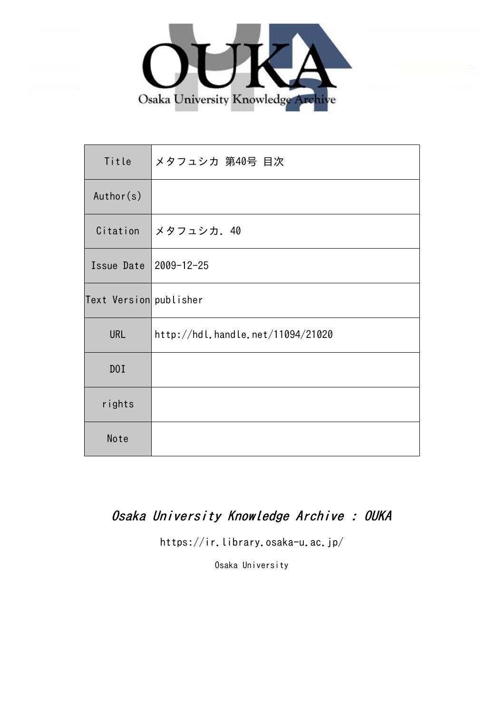

| Title                  | メタフュシカ 第40号 目次                    |
|------------------------|-----------------------------------|
| Author(s)              |                                   |
| Citation               | メタフュシカ. 40                        |
| Issue Date             | 2009-12-25                        |
| Text Version publisher |                                   |
| <b>URL</b>             | http://hdl.handle.net/11094/21020 |
| DOI                    |                                   |
| rights                 |                                   |
| Note                   |                                   |

# Osaka University Knowledge Archive : OUKA

https://ir.library.osaka-u.ac.jp/

Osaka University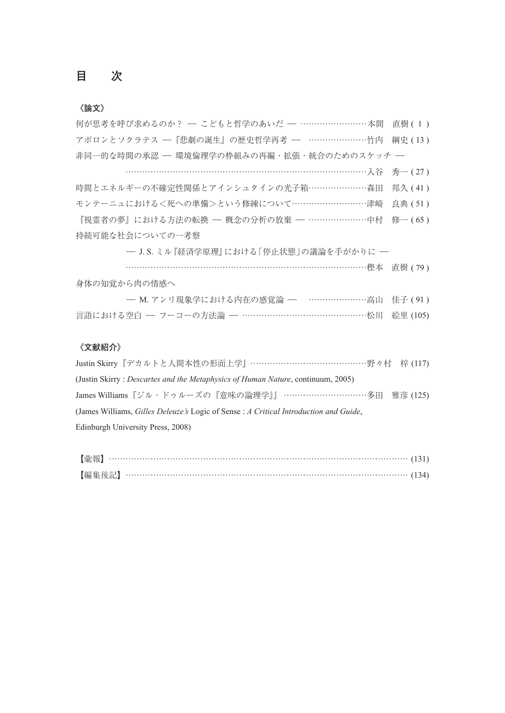## **《論文》**

| 何が思考を呼び求めるのか? – こどもと哲学のあいだ – ……………………本間 直樹(1)                                         |  |
|---------------------------------------------------------------------------------------|--|
| アポロンとソクラテス – 『悲劇の誕生』の歴史哲学再考 – …………………竹内 綱史 (13)                                       |  |
| 非同一的な時間の承認 — 環境倫理学の枠組みの再編・拡張・統合のためのスケッチ —                                             |  |
|                                                                                       |  |
| 時間とエネルギーの不確定性関係とアインシュタインの光子箱…………………森田 邦久 (41)                                         |  |
| モンテーニュにおける<死への準備>という修練について………………………津崎 良典 (51)                                         |  |
| 『視霊者の夢』における方法の転換 – 概念の分析の放棄 – …………………中村 修一(65)                                        |  |
| 持続可能な社会についての一考察                                                                       |  |
| ─ J.S.ミル『経済学原理』における「停止状態」の議論を手がかりに ─                                                  |  |
|                                                                                       |  |
| 身体の知覚から肉の情感へ                                                                          |  |
| - M. アンリ現象学における内在の感覚論 - …………………高山 佳子 (91)                                             |  |
| 言語における空白 — フーコーの方法論 — ………………………………………松川 絵里 (105)                                      |  |
|                                                                                       |  |
| 《文献紹介》                                                                                |  |
| Justin Skirry 『デカルトと人間本性の形而上学』…………………………………野々村 梓 (117)                                |  |
| (Justin Skirry: Descartes and the Metaphysics of Human Nature, continuum, 2005)       |  |
| James Williams『ジル・ドゥルーズの『意味の論理学』』 …………………………多田 雅彦 (125)                               |  |
| (James Williams, Gilles Deleuze's Logic of Sense : A Critical Introduction and Guide, |  |
| Edinburgh University Press, 2008)                                                     |  |